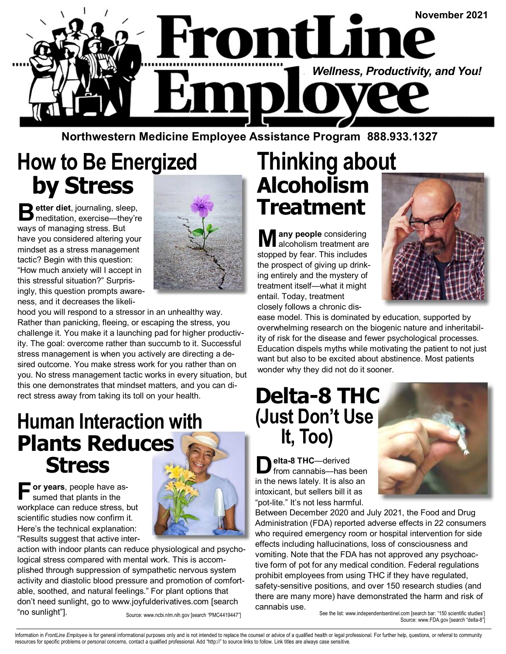

**Northwestern Medicine Employee Assistance Program 888.933.1327** 

# **How to Be Energized by Stress**

**B** etter diet, journaling, sleep,<br>meditation, exercise—they're ways of managing stress. But have you considered altering your mindset as a stress management tactic? Begin with this question: "How much anxiety will I accept in this stressful situation?" Surprisingly, this question prompts awareness, and it decreases the likeli-



hood you will respond to a stressor in an unhealthy way. Rather than panicking, fleeing, or escaping the stress, you challenge it. You make it a launching pad for higher productivity. The goal: overcome rather than succumb to it. Successful stress management is when you actively are directing a desired outcome. You make stress work for you rather than on you. No stress management tactic works in every situation, but this one demonstrates that mindset matters, and you can direct stress away from taking its toll on your health.

#### **Human Interaction with Plants Reduces Stress**

**F or years**, people have assumed that plants in the workplace can reduce stress, but scientific studies now confirm it. Here's the technical explanation: "Results suggest that active inter-



action with indoor plants can reduce physiological and psychological stress compared with mental work. This is accomplished through suppression of sympathetic nervous system activity and diastolic blood pressure and promotion of comfortable, soothed, and natural feelings." For plant options that don't need sunlight, go to www.joyfulderivatives.com [search "no sunlight"]. Source: www.ncbi.nlm.nih.gov [search "PMC4419447"]

## **Thinking about Alcoholism Treatment**

**M any people** considering alcoholism treatment are stopped by fear. This includes the prospect of giving up drinking entirely and the mystery of treatment itself—what it might entail. Today, treatment closely follows a chronic dis-



ease model. This is dominated by education, supported by overwhelming research on the biogenic nature and inheritability of risk for the disease and fewer psychological processes. Education dispels myths while motivating the patient to not just want but also to be excited about abstinence. Most patients wonder why they did not do it sooner.

#### **Delta-8 THC (Just Don't Use It, Too)**

**D elta-8 THC**—derived from cannabis—has been in the news lately. It is also an intoxicant, but sellers bill it as "pot-lite." It's not less harmful.



See the list: www.independentsentinel.com [search bar: "150 scientific studies'] Source: www.FDA.gov [search "delta-8"]

Information in FrontLine Employee is for general informational purposes only and is not intended to replace the counsel or advice of a qualified health or legal professional. For further help, questions, or referral to com resources for specific problems or personal concerns, contact a qualified professional. Add "http://" to source links to follow. Link titles are always case sensitive.